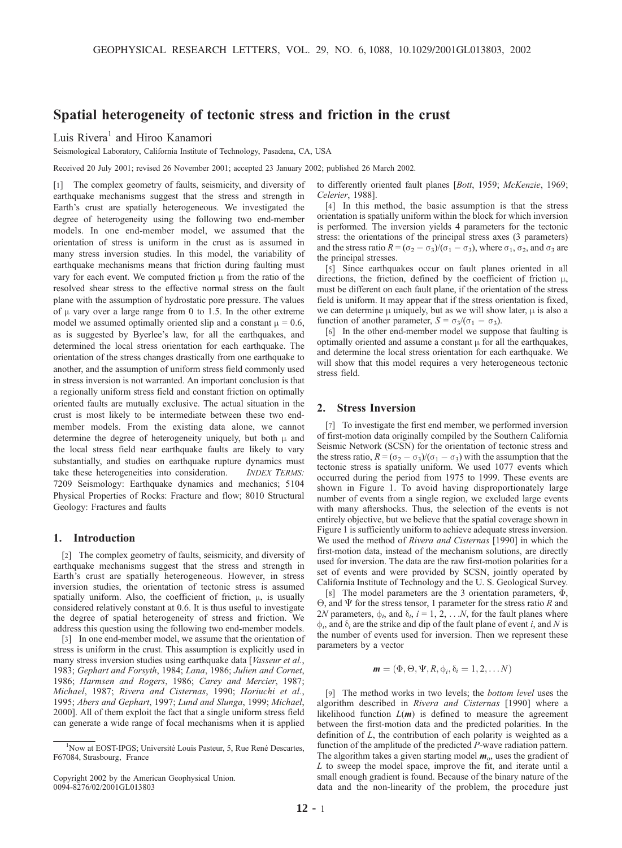# Spatial heterogeneity of tectonic stress and friction in the crust

Luis Rivera<sup>1</sup> and Hiroo Kanamori

Seismological Laboratory, California Institute of Technology, Pasadena, CA, USA

Received 20 July 2001; revised 26 November 2001; accepted 23 January 2002; published 26 March 2002.

[1] The complex geometry of faults, seismicity, and diversity of earthquake mechanisms suggest that the stress and strength in Earth's crust are spatially heterogeneous. We investigated the degree of heterogeneity using the following two end-member models. In one end-member model, we assumed that the orientation of stress is uniform in the crust as is assumed in many stress inversion studies. In this model, the variability of earthquake mechanisms means that friction during faulting must vary for each event. We computed friction  $\mu$  from the ratio of the resolved shear stress to the effective normal stress on the fault plane with the assumption of hydrostatic pore pressure. The values of  $\mu$  vary over a large range from 0 to 1.5. In the other extreme model we assumed optimally oriented slip and a constant  $\mu = 0.6$ , as is suggested by Byerlee's law, for all the earthquakes, and determined the local stress orientation for each earthquake. The orientation of the stress changes drastically from one earthquake to another, and the assumption of uniform stress field commonly used in stress inversion is not warranted. An important conclusion is that a regionally uniform stress field and constant friction on optimally oriented faults are mutually exclusive. The actual situation in the crust is most likely to be intermediate between these two endmember models. From the existing data alone, we cannot determine the degree of heterogeneity uniquely, but both  $\mu$  and the local stress field near earthquake faults are likely to vary substantially, and studies on earthquake rupture dynamics must take these heterogeneities into consideration. INDEX TERMS: 7209 Seismology: Earthquake dynamics and mechanics; 5104 Physical Properties of Rocks: Fracture and flow; 8010 Structural Geology: Fractures and faults

## 1. Introduction

[2] The complex geometry of faults, seismicity, and diversity of earthquake mechanisms suggest that the stress and strength in Earth's crust are spatially heterogeneous. However, in stress inversion studies, the orientation of tectonic stress is assumed spatially uniform. Also, the coefficient of friction,  $\mu$ , is usually considered relatively constant at 0.6. It is thus useful to investigate the degree of spatial heterogeneity of stress and friction. We address this question using the following two end-member models.

[3] In one end-member model, we assume that the orientation of stress is uniform in the crust. This assumption is explicitly used in many stress inversion studies using earthquake data [Vasseur et al., 1983; Gephart and Forsyth, 1984; Lana, 1986; Julien and Cornet, 1986; Harmsen and Rogers, 1986; Carey and Mercier, 1987; Michael, 1987; Rivera and Cisternas, 1990; Horiuchi et al., 1995; Abers and Gephart, 1997; Lund and Slunga, 1999; Michael, 2000]. All of them exploit the fact that a single uniform stress field can generate a wide range of focal mechanisms when it is applied

Copyright 2002 by the American Geophysical Union. 0094-8276/02/2001GL013803

to differently oriented fault planes [Bott, 1959; McKenzie, 1969; Celerier, 1988].

[4] In this method, the basic assumption is that the stress orientation is spatially uniform within the block for which inversion is performed. The inversion yields 4 parameters for the tectonic stress: the orientations of the principal stress axes (3 parameters) and the stress ratio  $R = (\sigma_2 - \sigma_3)/(\sigma_1 - \sigma_3)$ , where  $\sigma_1$ ,  $\sigma_2$ , and  $\sigma_3$  are the principal stresses.

[5] Since earthquakes occur on fault planes oriented in all directions, the friction, defined by the coefficient of friction  $\mu$ , must be different on each fault plane, if the orientation of the stress field is uniform. It may appear that if the stress orientation is fixed, we can determine  $\mu$  uniquely, but as we will show later,  $\mu$  is also a function of another parameter,  $S = \sigma_3/(\sigma_1 - \sigma_3)$ .

[6] In the other end-member model we suppose that faulting is optimally oriented and assume a constant  $\mu$  for all the earthquakes, and determine the local stress orientation for each earthquake. We will show that this model requires a very heterogeneous tectonic stress field.

## 2. Stress Inversion

[7] To investigate the first end member, we performed inversion of first-motion data originally compiled by the Southern California Seismic Network (SCSN) for the orientation of tectonic stress and the stress ratio,  $R = (\sigma_2 - \sigma_3)/(\sigma_1 - \sigma_3)$  with the assumption that the tectonic stress is spatially uniform. We used 1077 events which occurred during the period from 1975 to 1999. These events are shown in Figure 1. To avoid having disproportionately large number of events from a single region, we excluded large events with many aftershocks. Thus, the selection of the events is not entirely objective, but we believe that the spatial coverage shown in Figure 1 is sufficiently uniform to achieve adequate stress inversion. We used the method of Rivera and Cisternas [1990] in which the first-motion data, instead of the mechanism solutions, are directly used for inversion. The data are the raw first-motion polarities for a set of events and were provided by SCSN, jointly operated by California Institute of Technology and the U. S. Geological Survey.

[8] The model parameters are the 3 orientation parameters,  $\Phi$ ,  $\Theta$ , and  $\Psi$  for the stress tensor, 1 parameter for the stress ratio R and 2*N* parameters,  $\phi_i$ , and  $\delta_i$ ,  $i = 1, 2, \dots N$ , for the fault planes where  $\phi_i$ , and  $\delta_i$  are the strike and dip of the fault plane of event i, and N is the number of events used for inversion. Then we represent these parameters by a vector

$$
\mathbf{m}=(\Phi,\Theta,\Psi,R,\varphi_i,\delta_i=1,2,\ldots N)
$$

[9] The method works in two levels; the *bottom level* uses the algorithm described in Rivera and Cisternas [1990] where a likelihood function  $L(m)$  is defined to measure the agreement between the first-motion data and the predicted polarities. In the definition of L, the contribution of each polarity is weighted as a function of the amplitude of the predicted P-wave radiation pattern. The algorithm takes a given starting model  $m_0$ , uses the gradient of L to sweep the model space, improve the fit, and iterate until a small enough gradient is found. Because of the binary nature of the data and the non-linearity of the problem, the procedure just

<sup>&</sup>lt;sup>1</sup>Now at EOST-IPGS; Université Louis Pasteur, 5, Rue René Descartes, F67084, Strasbourg, France.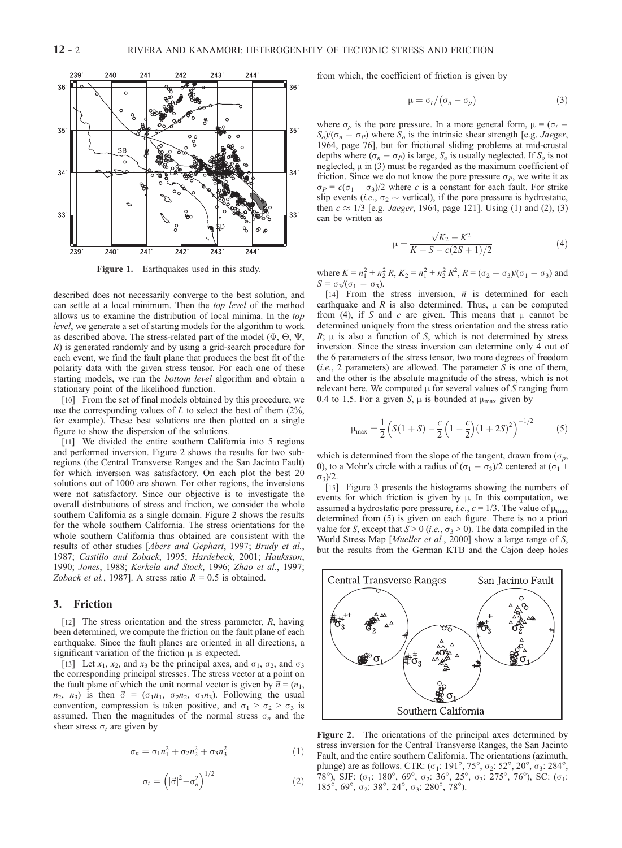

Figure 1. Earthquakes used in this study.

described does not necessarily converge to the best solution, and can settle at a local minimum. Then the top level of the method allows us to examine the distribution of local minima. In the top level, we generate a set of starting models for the algorithm to work as described above. The stress-related part of the model ( $\Phi$ ,  $\Theta$ ,  $\Psi$ , R) is generated randomly and by using a grid-search procedure for each event, we find the fault plane that produces the best fit of the polarity data with the given stress tensor. For each one of these starting models, we run the *bottom level* algorithm and obtain a stationary point of the likelihood function.

[10] From the set of final models obtained by this procedure, we use the corresponding values of L to select the best of them  $(2\%, \, 2\%)$ for example). These best solutions are then plotted on a single figure to show the dispersion of the solutions.

[11] We divided the entire southern California into 5 regions and performed inversion. Figure 2 shows the results for two subregions (the Central Transverse Ranges and the San Jacinto Fault) for which inversion was satisfactory. On each plot the best 20 solutions out of 1000 are shown. For other regions, the inversions were not satisfactory. Since our objective is to investigate the overall distributions of stress and friction, we consider the whole southern California as a single domain. Figure 2 shows the results for the whole southern California. The stress orientations for the whole southern California thus obtained are consistent with the results of other studies [Abers and Gephart, 1997; Brudy et al., 1987; Castillo and Zoback, 1995; Hardebeck, 2001; Hauksson, 1990; Jones, 1988; Kerkela and Stock, 1996; Zhao et al., 1997; Zoback et al., 1987]. A stress ratio  $R = 0.5$  is obtained.

#### 3. Friction

[12] The stress orientation and the stress parameter,  $R$ , having been determined, we compute the friction on the fault plane of each earthquake. Since the fault planes are oriented in all directions, a significant variation of the friction  $\mu$  is expected.

[13] Let  $x_1$ ,  $x_2$ , and  $x_3$  be the principal axes, and  $\sigma_1$ ,  $\sigma_2$ , and  $\sigma_3$ the corresponding principal stresses. The stress vector at a point on the fault plane of which the unit normal vector is given by  $\vec{n} = (n_1,$  $n_2$ ,  $n_3$ ) is then  $\vec{\sigma} = (\sigma_1 n_1, \sigma_2 n_2, \sigma_3 n_3)$ . Following the usual convention, compression is taken positive, and  $\sigma_1 > \sigma_2 > \sigma_3$  is assumed. Then the magnitudes of the normal stress  $\sigma_n$  and the shear stress  $\sigma_t$  are given by

$$
\sigma_n = \sigma_1 n_1^2 + \sigma_2 n_2^2 + \sigma_3 n_3^2 \tag{1}
$$

$$
\sigma_t = \left( |\vec{\sigma}|^2 - \sigma_n^2 \right)^{1/2} \tag{2}
$$

from which, the coefficient of friction is given by

$$
\mu = \sigma_t / (\sigma_n - \sigma_p) \tag{3}
$$

where  $\sigma_p$  is the pore pressure. In a more general form,  $\mu = (\sigma_t S_o/(\sigma_n - \sigma_P)$  where  $S_o$  is the intrinsic shear strength [e.g. *Jaeger*, 1964, page 76], but for frictional sliding problems at mid-crustal depths where  $(\sigma_n - \sigma_P)$  is large,  $S_o$  is usually neglected. If  $S_o$  is not neglected,  $\mu$  in (3) must be regarded as the maximum coefficient of friction. Since we do not know the pore pressure  $\sigma_P$ , we write it as  $\sigma_P = c(\sigma_1 + \sigma_3)/2$  where c is a constant for each fault. For strike slip events (*i.e.*,  $\sigma_2 \sim$  vertical), if the pore pressure is hydrostatic, then  $c \approx 1/3$  [e.g. *Jaeger*, 1964, page 121]. Using (1) and (2), (3) can be written as

$$
\mu = \frac{\sqrt{K_2 - K^2}}{K + S - c(2S + 1)/2} \tag{4}
$$

where  $K = n_1^2 + n_2^2 R$ ,  $K_2 = n_1^2 + n_2^2 R^2$ ,  $R = (\sigma_2 - \sigma_3)/(\sigma_1 - \sigma_3)$  and  $S = \sigma_3/(\sigma_1 - \sigma_3).$ 

[14] From the stress inversion,  $\vec{n}$  is determined for each earthquake and  $R$  is also determined. Thus,  $\mu$  can be computed from (4), if S and c are given. This means that  $\mu$  cannot be determined uniquely from the stress orientation and the stress ratio  $R$ ;  $\mu$  is also a function of S, which is not determined by stress inversion. Since the stress inversion can determine only 4 out of the 6 parameters of the stress tensor, two more degrees of freedom  $(i.e., 2 parameters)$  are allowed. The parameter S is one of them, and the other is the absolute magnitude of the stress, which is not relevant here. We computed  $\mu$  for several values of S ranging from 0.4 to 1.5. For a given S,  $\mu$  is bounded at  $\mu_{\text{max}}$  given by

$$
\mu_{\text{max}} = \frac{1}{2} \left( S(1+S) - \frac{c}{2} \left( 1 - \frac{c}{2} \right) (1+2S)^2 \right)^{-1/2} \tag{5}
$$

which is determined from the slope of the tangent, drawn from  $(\sigma_n)$ , 0), to a Mohr's circle with a radius of  $(\sigma_1 - \sigma_3)/2$  centered at  $(\sigma_1 + \sigma_3)/2$  $\sigma_3$ )/2.

[15] Figure 3 presents the histograms showing the numbers of events for which friction is given by  $\mu$ . In this computation, we assumed a hydrostatic pore pressure, i.e.,  $c = 1/3$ . The value of  $\mu_{\text{max}}$ determined from (5) is given on each figure. There is no a priori value for S, except that  $S > 0$  (i.e.,  $\sigma_3 > 0$ ). The data compiled in the World Stress Map [*Mueller et al.*, 2000] show a large range of *S*, but the results from the German KTB and the Cajon deep holes



Figure 2. The orientations of the principal axes determined by stress inversion for the Central Transverse Ranges, the San Jacinto Fault, and the entire southern California. The orientations (azimuth, plunge) are as follows. CTR:  $(\sigma_1: 191^\circ, 75^\circ, \sigma_2: 52^\circ, 20^\circ, \sigma_3: 284^\circ,$ 78°), SJF: ( $\sigma_1$ : 180°, 69°,  $\sigma_2$ : 36°, 25°,  $\sigma_3$ : 275°, 76°), SC: ( $\sigma_1$ : 185°, 69°, σ<sub>2</sub>: 38°, 24°, σ<sub>3</sub>: 280°, 78°).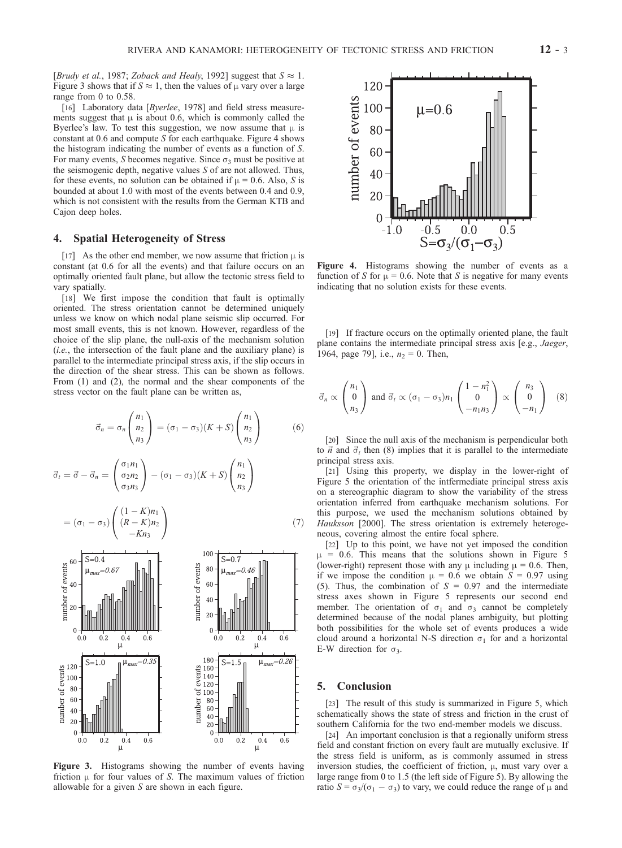[Brudy et al., 1987; Zoback and Healy, 1992] suggest that  $S \approx 1$ . Figure 3 shows that if  $S \approx 1$ , then the values of  $\mu$  vary over a large range from 0 to 0.58.

[16] Laboratory data [Byerlee, 1978] and field stress measurements suggest that  $\mu$  is about 0.6, which is commonly called the Byerlee's law. To test this suggestion, we now assume that  $\mu$  is constant at  $0.6$  and compute S for each earthquake. Figure 4 shows the histogram indicating the number of events as a function of S. For many events, S becomes negative. Since  $\sigma_3$  must be positive at the seismogenic depth, negative values  $S$  of are not allowed. Thus, for these events, no solution can be obtained if  $\mu = 0.6$ . Also, S is bounded at about 1.0 with most of the events between 0.4 and 0.9, which is not consistent with the results from the German KTB and Cajon deep holes.

## 4. Spatial Heterogeneity of Stress

[17] As the other end member, we now assume that friction  $\mu$  is constant (at 0.6 for all the events) and that failure occurs on an optimally oriented fault plane, but allow the tectonic stress field to vary spatially.

[18] We first impose the condition that fault is optimally oriented. The stress orientation cannot be determined uniquely unless we know on which nodal plane seismic slip occurred. For most small events, this is not known. However, regardless of the choice of the slip plane, the null-axis of the mechanism solution  $(i.e.,$  the intersection of the fault plane and the auxiliary plane) is parallel to the intermediate principal stress axis, if the slip occurs in the direction of the shear stress. This can be shown as follows. From (1) and (2), the normal and the shear components of the stress vector on the fault plane can be written as,

$$
\vec{\sigma}_n = \sigma_n \begin{pmatrix} n_1 \\ n_2 \\ n_3 \end{pmatrix} = (\sigma_1 - \sigma_3)(K + S) \begin{pmatrix} n_1 \\ n_2 \\ n_3 \end{pmatrix}
$$
 (6)

$$
\vec{\sigma}_t = \vec{\sigma} - \vec{\sigma}_n = \begin{pmatrix} \sigma_1 n_1 \\ \sigma_2 n_2 \\ \sigma_3 n_3 \end{pmatrix} - (\sigma_1 - \sigma_3)(K + S) \begin{pmatrix} n_1 \\ n_2 \\ n_3 \end{pmatrix}
$$

$$
= (\sigma_1 - \sigma_3) \begin{pmatrix} (1 - K)n_1 \\ (R - K)n_2 \\ -Kn_3 \end{pmatrix}
$$
 (7)



Figure 3. Histograms showing the number of events having friction  $\mu$  for four values of S. The maximum values of friction allowable for a given S are shown in each figure.



Figure 4. Histograms showing the number of events as a function of S for  $\mu$  = 0.6. Note that S is negative for many events indicating that no solution exists for these events.

[19] If fracture occurs on the optimally oriented plane, the fault plane contains the intermediate principal stress axis [e.g., *Jaeger*, 1964, page 79], i.e.,  $n_2 = 0$ . Then,

$$
\vec{\sigma}_n \propto \begin{pmatrix} n_1 \\ 0 \\ n_3 \end{pmatrix} \text{ and } \vec{\sigma}_t \propto (\sigma_1 - \sigma_3) n_1 \begin{pmatrix} 1 - n_1^2 \\ 0 \\ -n_1 n_3 \end{pmatrix} \propto \begin{pmatrix} n_3 \\ 0 \\ -n_1 \end{pmatrix} \quad (8)
$$

[20] Since the null axis of the mechanism is perpendicular both to  $\vec{n}$  and  $\vec{\sigma}_t$  then (8) implies that it is parallel to the intermediate principal stress axis.

[21] Using this property, we display in the lower-right of Figure 5 the orientation of the intfermediate principal stress axis on a stereographic diagram to show the variability of the stress orientation inferred from earthquake mechanism solutions. For this purpose, we used the mechanism solutions obtained by Hauksson [2000]. The stress orientation is extremely heterogeneous, covering almost the entire focal sphere.

[22] Up to this point, we have not yet imposed the condition  $= 0.6$ . This means that the solutions shown in Figure 5 (lower-right) represent those with any  $\mu$  including  $\mu$  = 0.6. Then, if we impose the condition  $\mu = 0.6$  we obtain  $S = 0.97$  using (5). Thus, the combination of  $S = 0.97$  and the intermediate stress axes shown in Figure 5 represents our second end member. The orientation of  $\sigma_1$  and  $\sigma_3$  cannot be completely determined because of the nodal planes ambiguity, but plotting both possibilities for the whole set of events produces a wide cloud around a horizontal N-S direction  $\sigma_1$  for and a horizontal E-W direction for  $\sigma_3$ .

#### 5. Conclusion

[23] The result of this study is summarized in Figure 5, which schematically shows the state of stress and friction in the crust of southern California for the two end-member models we discuss.

[24] An important conclusion is that a regionally uniform stress field and constant friction on every fault are mutually exclusive. If the stress field is uniform, as is commonly assumed in stress inversion studies, the coefficient of friction,  $\mu$ , must vary over a large range from 0 to 1.5 (the left side of Figure 5). By allowing the ratio  $S = \sigma_3/(\sigma_1 - \sigma_3)$  to vary, we could reduce the range of  $\mu$  and